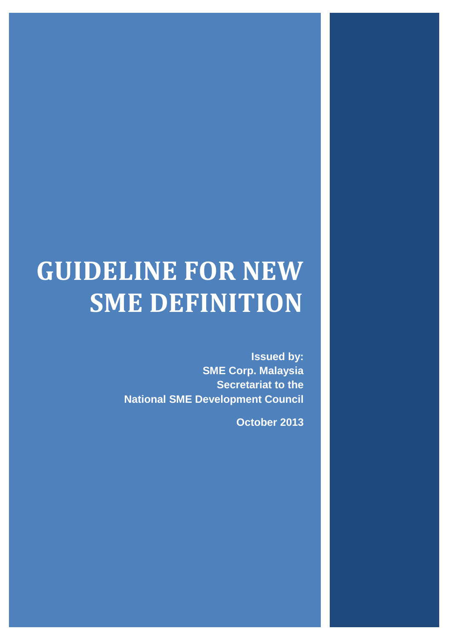# **GUIDELINE FOR NEW SME DEFINITION**

**Issued by: SME Corp. Malaysia Secretariat to the National SME Development Council**

**October 2013**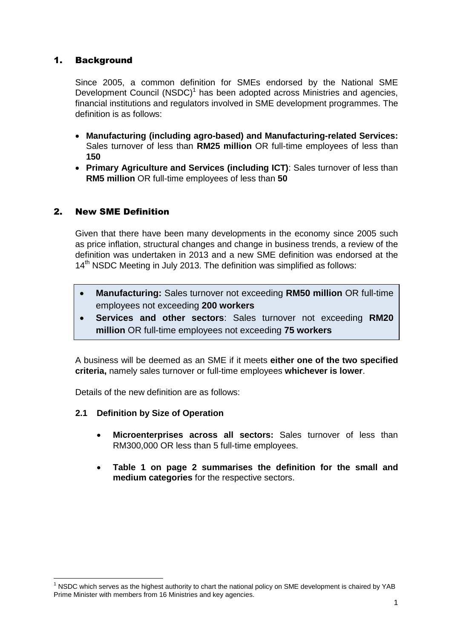# 1. Background

Since 2005, a common definition for SMEs endorsed by the National SME Development Council (NSDC)<sup>1</sup> has been adopted across Ministries and agencies, financial institutions and regulators involved in SME development programmes. The definition is as follows:

- **Manufacturing (including agro-based) and Manufacturing-related Services:** Sales turnover of less than **RM25 million** OR full-time employees of less than **150**
- **Primary Agriculture and Services (including ICT)**: Sales turnover of less than **RM5 million** OR full-time employees of less than **50**

# 2. New SME Definition

Given that there have been many developments in the economy since 2005 such as price inflation, structural changes and change in business trends, a review of the definition was undertaken in 2013 and a new SME definition was endorsed at the 14<sup>th</sup> NSDC Meeting in July 2013. The definition was simplified as follows:

- **Manufacturing:** Sales turnover not exceeding **RM50 million** OR full-time employees not exceeding **200 workers**
- **Services and other sectors**: Sales turnover not exceeding **RM20 million** OR full-time employees not exceeding **75 workers**

A business will be deemed as an SME if it meets **either one of the two specified criteria,** namely sales turnover or full-time employees **whichever is lower**.

Details of the new definition are as follows:

- **2.1 Definition by Size of Operation**
	- **Microenterprises across all sectors:** Sales turnover of less than RM300,000 OR less than 5 full-time employees.
	- **Table 1 on page 2 summarises the definition for the small and medium categories** for the respective sectors.

**<sup>.</sup>**  $1$  NSDC which serves as the highest authority to chart the national policy on SME development is chaired by YAB Prime Minister with members from 16 Ministries and key agencies.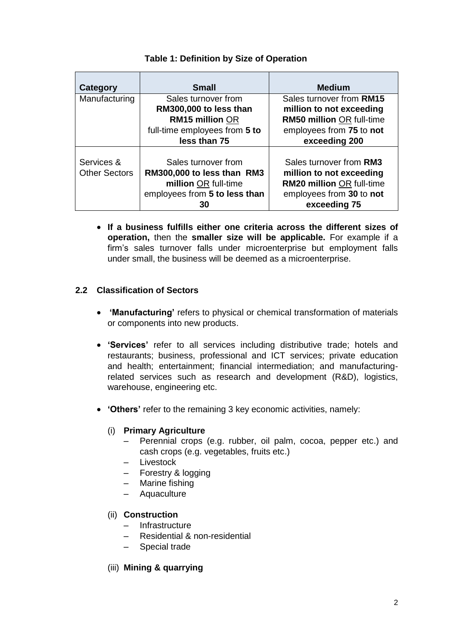| Category             | <b>Small</b>                  | <b>Medium</b>                    |
|----------------------|-------------------------------|----------------------------------|
| Manufacturing        | Sales turnover from           | Sales turnover from RM15         |
|                      | RM300,000 to less than        | million to not exceeding         |
|                      | <b>RM15 million OR</b>        | RM50 million OR full-time        |
|                      | full-time employees from 5 to | employees from 75 to not         |
|                      | less than 75                  | exceeding 200                    |
| Services &           | Sales turnover from           | Sales turnover from RM3          |
| <b>Other Sectors</b> | RM300,000 to less than RM3    | million to not exceeding         |
|                      | million OR full-time          | <b>RM20 million OR full-time</b> |
|                      | employees from 5 to less than | employees from 30 to not         |
|                      | 30                            | exceeding 75                     |

# **Table 1: Definition by Size of Operation**

 **If a business fulfills either one criteria across the different sizes of operation,** then the **smaller size will be applicable.** For example if a firm's sales turnover falls under microenterprise but employment falls under small, the business will be deemed as a microenterprise.

# **2.2 Classification of Sectors**

- **'Manufacturing'** refers to physical or chemical transformation of materials or components into new products.
- **'Services'** refer to all services including distributive trade; hotels and restaurants; business, professional and ICT services; private education and health; entertainment; financial intermediation; and manufacturingrelated services such as research and development (R&D), logistics, warehouse, engineering etc.
- **'Others'** refer to the remaining 3 key economic activities, namely:

## (i) **Primary Agriculture**

- Perennial crops (e.g. rubber, oil palm, cocoa, pepper etc.) and cash crops (e.g. vegetables, fruits etc.)
- Livestock
- Forestry & logging
- Marine fishing
- Aquaculture

## (ii) **Construction**

- Infrastructure
- Residential & non-residential
- Special trade
- (iii) **Mining & quarrying**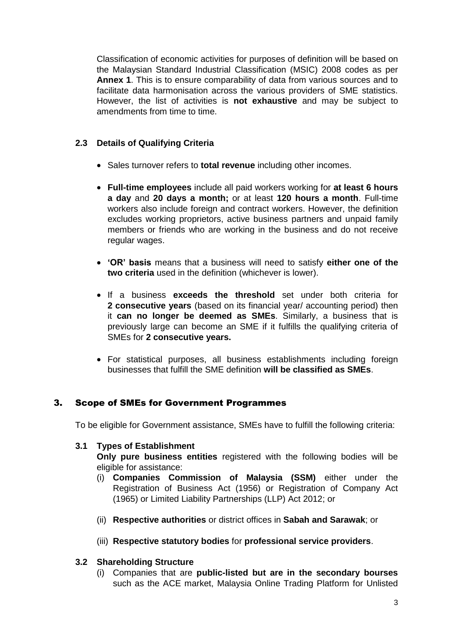Classification of economic activities for purposes of definition will be based on the Malaysian Standard Industrial Classification (MSIC) 2008 codes as per **Annex 1**. This is to ensure comparability of data from various sources and to facilitate data harmonisation across the various providers of SME statistics. However, the list of activities is **not exhaustive** and may be subject to amendments from time to time.

## **2.3 Details of Qualifying Criteria**

- Sales turnover refers to **total revenue** including other incomes.
- **Full-time employees** include all paid workers working for **at least 6 hours a day** and **20 days a month;** or at least **120 hours a month**. Full-time workers also include foreign and contract workers. However, the definition excludes working proprietors, active business partners and unpaid family members or friends who are working in the business and do not receive regular wages.
- **'OR' basis** means that a business will need to satisfy **either one of the two criteria** used in the definition (whichever is lower).
- If a business **exceeds the threshold** set under both criteria for **2 consecutive years** (based on its financial year/ accounting period) then it **can no longer be deemed as SMEs**. Similarly, a business that is previously large can become an SME if it fulfills the qualifying criteria of SMEs for **2 consecutive years.**
- For statistical purposes, all business establishments including foreign businesses that fulfill the SME definition **will be classified as SMEs**.

# 3. Scope of SMEs for Government Programmes

To be eligible for Government assistance, SMEs have to fulfill the following criteria:

## **3.1 Types of Establishment**

**Only pure business entities** registered with the following bodies will be eligible for assistance:

- (i) **Companies Commission of Malaysia (SSM)** either under the Registration of Business Act (1956) or Registration of Company Act (1965) or Limited Liability Partnerships (LLP) Act 2012; or
- (ii) **Respective authorities** or district offices in **Sabah and Sarawak**; or
- (iii) **Respective statutory bodies** for **professional service providers**.

## **3.2 Shareholding Structure**

(i) Companies that are **public-listed but are in the secondary bourses** such as the ACE market, Malaysia Online Trading Platform for Unlisted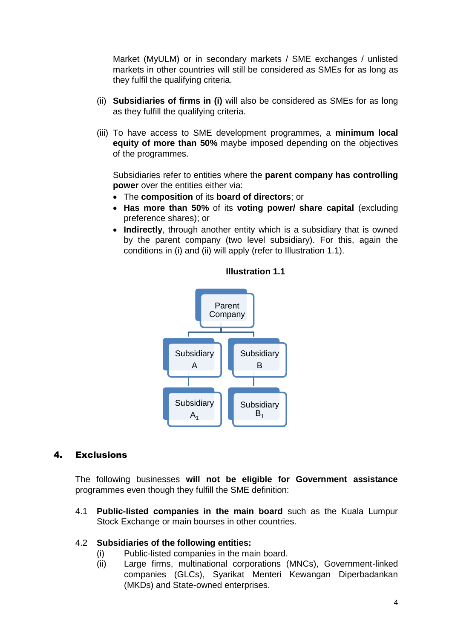Market (MyULM) or in secondary markets / SME exchanges / unlisted markets in other countries will still be considered as SMEs for as long as they fulfil the qualifying criteria.

- (ii) **Subsidiaries of firms in (i)** will also be considered as SMEs for as long as they fulfill the qualifying criteria.
- (iii) To have access to SME development programmes, a **minimum local equity of more than 50%** maybe imposed depending on the objectives of the programmes.

Subsidiaries refer to entities where the **parent company has controlling power** over the entities either via:

- The **composition** of its **board of directors**; or
- **Has more than 50%** of its **voting power/ share capital** (excluding preference shares); or
- **Indirectly**, through another entity which is a subsidiary that is owned by the parent company (two level subsidiary). For this, again the conditions in (i) and (ii) will apply (refer to Illustration 1.1).



## **Illustration 1.1**

## 4. Exclusions

The following businesses **will not be eligible for Government assistance** programmes even though they fulfill the SME definition:

4.1 **Public-listed companies in the main board** such as the Kuala Lumpur Stock Exchange or main bourses in other countries.

## 4.2 **Subsidiaries of the following entities:**

- (i) Public-listed companies in the main board.
- (ii) Large firms, multinational corporations (MNCs), Government-linked companies (GLCs), Syarikat Menteri Kewangan Diperbadankan (MKDs) and State-owned enterprises.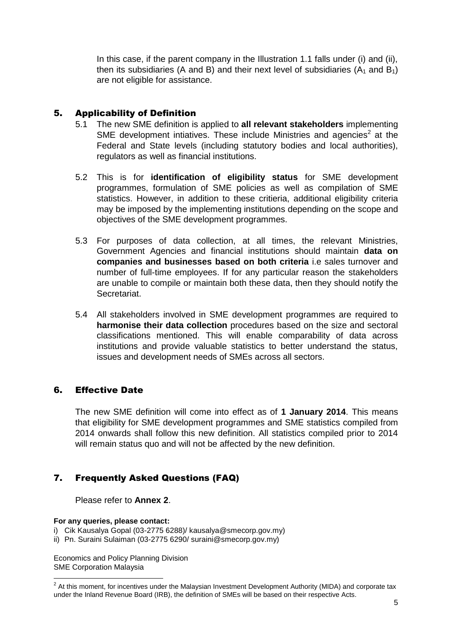In this case, if the parent company in the Illustration 1.1 falls under (i) and (ii), then its subsidiaries (A and B) and their next level of subsidiaries ( $A_1$  and  $B_1$ ) are not eligible for assistance.

# 5. Applicability of Definition

- 5.1 The new SME definition is applied to **all relevant stakeholders** implementing SME development intiatives. These include Ministries and agencies<sup>2</sup> at the Federal and State levels (including statutory bodies and local authorities), regulators as well as financial institutions.
- 5.2 This is for **identification of eligibility status** for SME development programmes, formulation of SME policies as well as compilation of SME statistics. However, in addition to these critieria, additional eligibility criteria may be imposed by the implementing institutions depending on the scope and objectives of the SME development programmes.
- 5.3 For purposes of data collection, at all times, the relevant Ministries, Government Agencies and financial institutions should maintain **data on companies and businesses based on both criteria** i.e sales turnover and number of full-time employees. If for any particular reason the stakeholders are unable to compile or maintain both these data, then they should notify the Secretariat.
- 5.4 All stakeholders involved in SME development programmes are required to **harmonise their data collection** procedures based on the size and sectoral classifications mentioned. This will enable comparability of data across institutions and provide valuable statistics to better understand the status, issues and development needs of SMEs across all sectors.

# 6. Effective Date

The new SME definition will come into effect as of **1 January 2014**. This means that eligibility for SME development programmes and SME statistics compiled from 2014 onwards shall follow this new definition. All statistics compiled prior to 2014 will remain status quo and will not be affected by the new definition.

# 7. Frequently Asked Questions (FAQ)

## Please refer to **Annex 2**.

#### **For any queries, please contact:**

- i) Cik Kausalya Gopal (03-2775 6288)/ kausalya@smecorp.gov.my)
- ii) Pn. Suraini Sulaiman (03-2775 6290/ suraini@smecorp.gov.my)

Economics and Policy Planning Division SME Corporation Malaysia

 2 At this moment, for incentives under the Malaysian Investment Development Authority (MIDA) and corporate tax under the Inland Revenue Board (IRB), the definition of SMEs will be based on their respective Acts.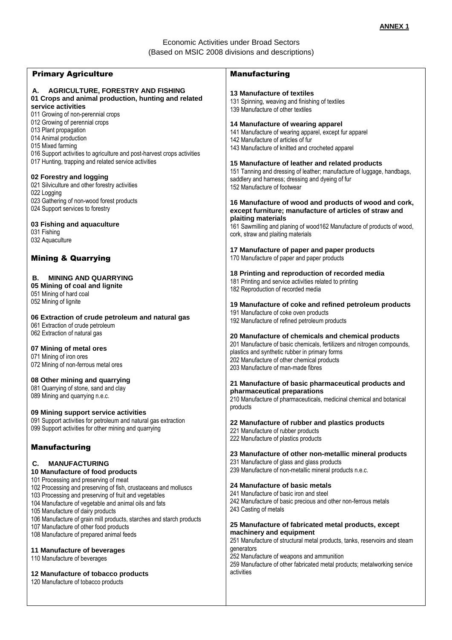## Economic Activities under Broad Sectors (Based on MSIC 2008 divisions and descriptions)

| <b>Primary Agriculture</b>                                                                                                                                                                                                                                      | <b>Manufacturing</b>                                                                                                                                                                                                                                                 |
|-----------------------------------------------------------------------------------------------------------------------------------------------------------------------------------------------------------------------------------------------------------------|----------------------------------------------------------------------------------------------------------------------------------------------------------------------------------------------------------------------------------------------------------------------|
| <b>AGRICULTURE, FORESTRY AND FISHING</b><br>А.<br>01 Crops and animal production, hunting and related<br>service activities<br>011 Growing of non-perennial crops                                                                                               | <b>13 Manufacture of textiles</b><br>131 Spinning, weaving and finishing of textiles<br>139 Manufacture of other textiles                                                                                                                                            |
| 012 Growing of perennial crops<br>013 Plant propagation<br>014 Animal production<br>015 Mixed farming<br>016 Support activities to agriculture and post-harvest crops activities                                                                                | 14 Manufacture of wearing apparel<br>141 Manufacture of wearing apparel, except fur apparel<br>142 Manufacture of articles of fur<br>143 Manufacture of knitted and crocheted apparel                                                                                |
| 017 Hunting, trapping and related service activities<br>02 Forestry and logging<br>021 Silviculture and other forestry activities<br>022 Logging<br>023 Gathering of non-wood forest products                                                                   | 15 Manufacture of leather and related products<br>151 Tanning and dressing of leather; manufacture of luggage, handbags,<br>saddlery and harness; dressing and dyeing of fur<br>152 Manufacture of footwear<br>16 Manufacture of wood and products of wood and cork, |
| 024 Support services to forestry<br>03 Fishing and aquaculture<br>031 Fishing<br>032 Aquaculture                                                                                                                                                                | except furniture; manufacture of articles of straw and<br>plaiting materials<br>161 Sawmilling and planing of wood 162 Manufacture of products of wood,<br>cork, straw and plaiting materials                                                                        |
| <b>Mining &amp; Quarrying</b>                                                                                                                                                                                                                                   | 17 Manufacture of paper and paper products<br>170 Manufacture of paper and paper products                                                                                                                                                                            |
| <b>MINING AND QUARRYING</b><br>В.<br>05 Mining of coal and lignite<br>051 Mining of hard coal                                                                                                                                                                   | 18 Printing and reproduction of recorded media<br>181 Printing and service activities related to printing<br>182 Reproduction of recorded media                                                                                                                      |
| 052 Mining of lignite<br>06 Extraction of crude petroleum and natural gas<br>061 Extraction of crude petroleum                                                                                                                                                  | 19 Manufacture of coke and refined petroleum products<br>191 Manufacture of coke oven products<br>192 Manufacture of refined petroleum products                                                                                                                      |
| 062 Extraction of natural gas<br>07 Mining of metal ores<br>071 Mining of iron ores<br>072 Mining of non-ferrous metal ores                                                                                                                                     | 20 Manufacture of chemicals and chemical products<br>201 Manufacture of basic chemicals, fertilizers and nitrogen compounds,<br>plastics and synthetic rubber in primary forms<br>202 Manufacture of other chemical products<br>203 Manufacture of man-made fibres   |
| 08 Other mining and quarrying<br>081 Quarrying of stone, sand and clay<br>089 Mining and quarrying n.e.c.<br>09 Mining support service activities                                                                                                               | 21 Manufacture of basic pharmaceutical products and<br>pharmaceutical preparations<br>210 Manufacture of pharmaceuticals, medicinal chemical and botanical<br>products                                                                                               |
| 091 Support activities for petroleum and natural gas extraction<br>099 Support activities for other mining and quarrying                                                                                                                                        | 22 Manufacture of rubber and plastics products<br>221 Manufacture of rubber products<br>222 Manufacture of plastics products                                                                                                                                         |
| <b>Manufacturing</b><br><b>MANUFACTURING</b><br>C.<br>10 Manufacture of food products                                                                                                                                                                           | 23 Manufacture of other non-metallic mineral products<br>231 Manufacture of glass and glass products<br>239 Manufacture of non-metallic mineral products n.e.c.                                                                                                      |
| 101 Processing and preserving of meat<br>102 Processing and preserving of fish, crustaceans and molluscs<br>103 Processing and preserving of fruit and vegetables<br>104 Manufacture of vegetable and animal oils and fats<br>105 Manufacture of dairy products | 24 Manufacture of basic metals<br>241 Manufacture of basic iron and steel<br>242 Manufacture of basic precious and other non-ferrous metals<br>243 Casting of metals                                                                                                 |
| 106 Manufacture of grain mill products, starches and starch products<br>107 Manufacture of other food products<br>108 Manufacture of prepared animal feeds                                                                                                      | 25 Manufacture of fabricated metal products, except<br>machinery and equipment<br>251 Manufacture of structural metal products, tanks, reservoirs and steam                                                                                                          |
| 11 Manufacture of beverages<br>110 Manufacture of beverages                                                                                                                                                                                                     | generators<br>252 Manufacture of weapons and ammunition<br>259 Manufacture of other fabricated metal products; metalworking service                                                                                                                                  |
| 12 Manufacture of tobacco products<br>120 Manufacture of tobacco products                                                                                                                                                                                       | activities                                                                                                                                                                                                                                                           |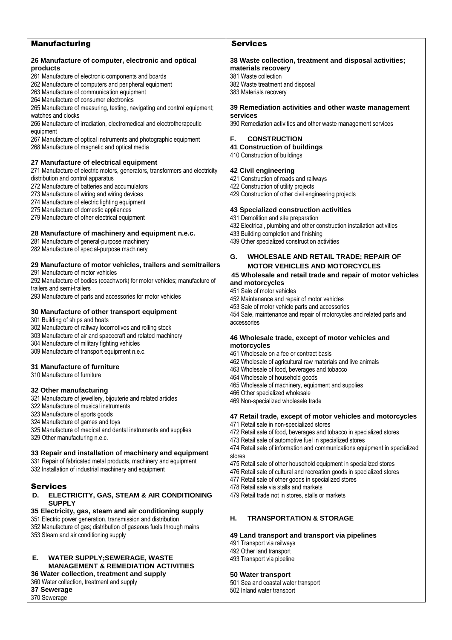| <b>Manufacturing</b>                                                         | <b>Services</b>                                                               |
|------------------------------------------------------------------------------|-------------------------------------------------------------------------------|
|                                                                              |                                                                               |
| 26 Manufacture of computer, electronic and optical<br>products               | 38 Waste collection, treatment and disposal activities;<br>materials recovery |
| 261 Manufacture of electronic components and boards                          | 381 Waste collection                                                          |
| 262 Manufacture of computers and peripheral equipment                        | 382 Waste treatment and disposal                                              |
| 263 Manufacture of communication equipment                                   | 383 Materials recovery                                                        |
| 264 Manufacture of consumer electronics                                      |                                                                               |
| 265 Manufacture of measuring, testing, navigating and control equipment;     | 39 Remediation activities and other waste management                          |
| watches and clocks                                                           | services                                                                      |
| 266 Manufacture of irradiation, electromedical and electrotherapeutic        | 390 Remediation activities and other waste management services                |
| equipment                                                                    |                                                                               |
| 267 Manufacture of optical instruments and photographic equipment            | F.<br><b>CONSTRUCTION</b>                                                     |
| 268 Manufacture of magnetic and optical media                                | <b>41 Construction of buildings</b><br>410 Construction of buildings          |
| 27 Manufacture of electrical equipment                                       |                                                                               |
| 271 Manufacture of electric motors, generators, transformers and electricity | 42 Civil engineering                                                          |
| distribution and control apparatus                                           | 421 Construction of roads and railways                                        |
| 272 Manufacture of batteries and accumulators                                | 422 Construction of utility projects                                          |
| 273 Manufacture of wiring and wiring devices                                 | 429 Construction of other civil engineering projects                          |
| 274 Manufacture of electric lighting equipment                               |                                                                               |
| 275 Manufacture of domestic appliances                                       | 43 Specialized construction activities                                        |
| 279 Manufacture of other electrical equipment                                | 431 Demolition and site preparation                                           |
|                                                                              | 432 Electrical, plumbing and other construction installation activities       |
| 28 Manufacture of machinery and equipment n.e.c.                             | 433 Building completion and finishing                                         |
| 281 Manufacture of general-purpose machinery                                 | 439 Other specialized construction activities                                 |
| 282 Manufacture of special-purpose machinery                                 | G.<br><b>WHOLESALE AND RETAIL TRADE; REPAIR OF</b>                            |
| 29 Manufacture of motor vehicles, trailers and semitrailers                  | <b>MOTOR VEHICLES AND MOTORCYCLES</b>                                         |
| 291 Manufacture of motor vehicles                                            |                                                                               |
| 292 Manufacture of bodies (coachwork) for motor vehicles; manufacture of     | 45 Wholesale and retail trade and repair of motor vehicles                    |
| trailers and semi-trailers                                                   | and motorcycles                                                               |
| 293 Manufacture of parts and accessories for motor vehicles                  | 451 Sale of motor vehicles<br>452 Maintenance and repair of motor vehicles    |
|                                                                              | 453 Sale of motor vehicle parts and accessories                               |
| 30 Manufacture of other transport equipment                                  | 454 Sale, maintenance and repair of motorcycles and related parts and         |
| 301 Building of ships and boats                                              | accessories                                                                   |
| 302 Manufacture of railway locomotives and rolling stock                     |                                                                               |
| 303 Manufacture of air and spacecraft and related machinery                  | 46 Wholesale trade, except of motor vehicles and                              |
| 304 Manufacture of military fighting vehicles                                | motorcycles                                                                   |
| 309 Manufacture of transport equipment n.e.c.                                | 461 Wholesale on a fee or contract basis                                      |
| 31 Manufacture of furniture                                                  | 462 Wholesale of agricultural raw materials and live animals                  |
| 310 Manufacture of furniture                                                 | 463 Wholesale of food, beverages and tobacco                                  |
|                                                                              | 464 Wholesale of household goods                                              |
| 32 Other manufacturing                                                       | 465 Wholesale of machinery, equipment and supplies                            |
| 321 Manufacture of jewellery, bijouterie and related articles                | 466 Other specialized wholesale                                               |
| 322 Manufacture of musical instruments                                       | 469 Non-specialized wholesale trade                                           |
| 323 Manufacture of sports goods                                              | 47 Retail trade, except of motor vehicles and motorcycles                     |
| 324 Manufacture of games and toys                                            | 471 Retail sale in non-specialized stores                                     |
| 325 Manufacture of medical and dental instruments and supplies               | 472 Retail sale of food, beverages and tobacco in specialized stores          |
| 329 Other manufacturing n.e.c.                                               | 473 Retail sale of automotive fuel in specialized stores                      |
|                                                                              | 474 Retail sale of information and communications equipment in specialized    |
| 33 Repair and installation of machinery and equipment                        | stores                                                                        |
| 331 Repair of fabricated metal products, machinery and equipment             | 475 Retail sale of other household equipment in specialized stores            |
| 332 Installation of industrial machinery and equipment                       | 476 Retail sale of cultural and recreation goods in specialized stores        |
|                                                                              | 477 Retail sale of other goods in specialized stores                          |
| <b>Services</b>                                                              | 478 Retail sale via stalls and markets                                        |
| ELECTRICITY, GAS, STEAM & AIR CONDITIONING<br>D.<br><b>SUPPLY</b>            | 479 Retail trade not in stores, stalls or markets                             |
| 35 Electricity, gas, steam and air conditioning supply                       |                                                                               |
| 351 Electric power generation, transmission and distribution                 | Η.<br><b>TRANSPORTATION &amp; STORAGE</b>                                     |
| 352 Manufacture of gas; distribution of gaseous fuels through mains          |                                                                               |
| 353 Steam and air conditioning supply                                        | 49 Land transport and transport via pipelines                                 |
|                                                                              | 491 Transport via railways                                                    |
|                                                                              | 492 Other land transport                                                      |
| <b>WATER SUPPLY; SEWERAGE, WASTE</b><br>Е.                                   | 493 Transport via pipeline                                                    |

**50 Water transport**

501 Sea and coastal water transport 502 Inland water transport

**E. WATER SUPPLY;SEWERAGE, WASTE MANAGEMENT & REMEDIATION ACTIVITIES**

**36 Water collection, treatment and supply**

360 Water collection, treatment and supply **37 Sewerage**

370 Sewerage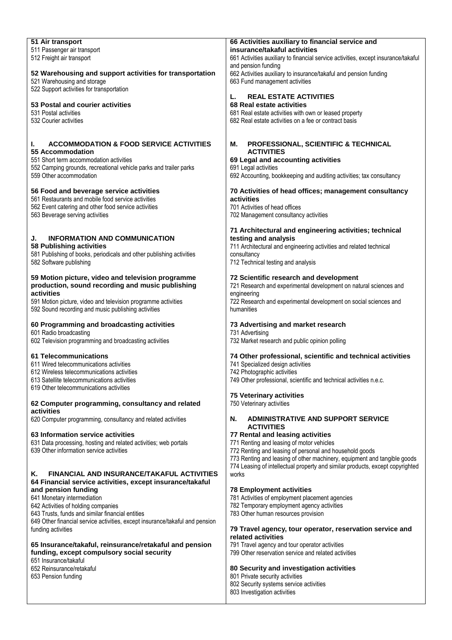| 51 Air transport                                                                                      | 66 Activities auxiliary to financial service and                                                    |
|-------------------------------------------------------------------------------------------------------|-----------------------------------------------------------------------------------------------------|
| 511 Passenger air transport                                                                           | insurance/takaful activities                                                                        |
| 512 Freight air transport                                                                             | 661 Activities auxiliary to financial service activities, except insurance/takaful                  |
|                                                                                                       | and pension funding                                                                                 |
| 52 Warehousing and support activities for transportation<br>521 Warehousing and storage               | 662 Activities auxiliary to insurance/takaful and pension funding<br>663 Fund management activities |
| 522 Support activities for transportation                                                             |                                                                                                     |
|                                                                                                       | <b>REAL ESTATE ACTIVITIES</b><br>L.                                                                 |
| 53 Postal and courier activities                                                                      | 68 Real estate activities                                                                           |
| 531 Postal activities                                                                                 | 681 Real estate activities with own or leased property                                              |
| 532 Courier activities                                                                                | 682 Real estate activities on a fee or contract basis                                               |
|                                                                                                       |                                                                                                     |
|                                                                                                       |                                                                                                     |
| ı.<br><b>ACCOMMODATION &amp; FOOD SERVICE ACTIVITIES</b>                                              | М.<br>PROFESSIONAL, SCIENTIFIC & TECHNICAL                                                          |
| 55 Accommodation                                                                                      | <b>ACTIVITIES</b>                                                                                   |
| 551 Short term accommodation activities                                                               | 69 Legal and accounting activities                                                                  |
| 552 Camping grounds, recreational vehicle parks and trailer parks                                     | 691 Legal activities                                                                                |
| 559 Other accommodation                                                                               | 692 Accounting, bookkeeping and auditing activities; tax consultancy                                |
| 56 Food and beverage service activities                                                               | 70 Activities of head offices; management consultancy                                               |
| 561 Restaurants and mobile food service activities                                                    | activities                                                                                          |
| 562 Event catering and other food service activities                                                  | 701 Activities of head offices                                                                      |
| 563 Beverage serving activities                                                                       | 702 Management consultancy activities                                                               |
|                                                                                                       |                                                                                                     |
|                                                                                                       | 71 Architectural and engineering activities; technical                                              |
| J.<br><b>INFORMATION AND COMMUNICATION</b>                                                            | testing and analysis                                                                                |
| 58 Publishing activities                                                                              | 711 Architectural and engineering activities and related technical                                  |
| 581 Publishing of books, periodicals and other publishing activities                                  | consultancy                                                                                         |
| 582 Software publishing                                                                               | 712 Technical testing and analysis                                                                  |
|                                                                                                       |                                                                                                     |
| 59 Motion picture, video and television programme<br>production, sound recording and music publishing | 72 Scientific research and development                                                              |
| activities                                                                                            | 721 Research and experimental development on natural sciences and<br>engineering                    |
| 591 Motion picture, video and television programme activities                                         | 722 Research and experimental development on social sciences and                                    |
| 592 Sound recording and music publishing activities                                                   | humanities                                                                                          |
|                                                                                                       |                                                                                                     |
| 60 Programming and broadcasting activities                                                            | 73 Advertising and market research                                                                  |
| 601 Radio broadcasting                                                                                | 731 Advertising                                                                                     |
| 602 Television programming and broadcasting activities                                                | 732 Market research and public opinion polling                                                      |
|                                                                                                       |                                                                                                     |
| <b>61 Telecommunications</b>                                                                          | 74 Other professional, scientific and technical activities                                          |
| 611 Wired telecommunications activities                                                               | 741 Specialized design activities                                                                   |
| 612 Wireless telecommunications activities<br>613 Satellite telecommunications activities             | 742 Photographic activities<br>749 Other professional, scientific and technical activities n.e.c.   |
| 619 Other telecommunications activities                                                               |                                                                                                     |
|                                                                                                       | <b>75 Veterinary activities</b>                                                                     |
| 62 Computer programming, consultancy and related                                                      | 750 Veterinary activities                                                                           |
| activities                                                                                            |                                                                                                     |
| 620 Computer programming, consultancy and related activities                                          | <b>ADMINISTRATIVE AND SUPPORT SERVICE</b><br>N.                                                     |
|                                                                                                       | <b>ACTIVITIES</b>                                                                                   |
| 63 Information service activities                                                                     | 77 Rental and leasing activities                                                                    |
| 631 Data processing, hosting and related activities; web portals                                      | 771 Renting and leasing of motor vehicles                                                           |
| 639 Other information service activities                                                              | 772 Renting and leasing of personal and household goods                                             |
|                                                                                                       | 773 Renting and leasing of other machinery, equipment and tangible goods                            |
| <b>FINANCIAL AND INSURANCE/TAKAFUL ACTIVITIES</b>                                                     | 774 Leasing of intellectual property and similar products, except copyrighted                       |
| K.                                                                                                    | works                                                                                               |
| 64 Financial service activities, except insurance/takaful<br>and pension funding                      | <b>78 Employment activities</b>                                                                     |
| 641 Monetary intermediation                                                                           | 781 Activities of employment placement agencies                                                     |
| 642 Activities of holding companies                                                                   | 782 Temporary employment agency activities                                                          |
| 643 Trusts, funds and similar financial entities                                                      | 783 Other human resources provision                                                                 |
| 649 Other financial service activities, except insurance/takaful and pension                          |                                                                                                     |
| funding activities                                                                                    | 79 Travel agency, tour operator, reservation service and                                            |
|                                                                                                       | related activities                                                                                  |
| 65 Insurance/takaful, reinsurance/retakaful and pension                                               | 791 Travel agency and tour operator activities                                                      |
| funding, except compulsory social security                                                            | 799 Other reservation service and related activities                                                |
| 651 Insurance/takaful                                                                                 |                                                                                                     |
| 652 Reinsurance/retakaful                                                                             | 80 Security and investigation activities<br>801 Private security activities                         |
| 653 Pension funding                                                                                   | 802 Security systems service activities                                                             |
|                                                                                                       | 803 Investigation activities                                                                        |
|                                                                                                       |                                                                                                     |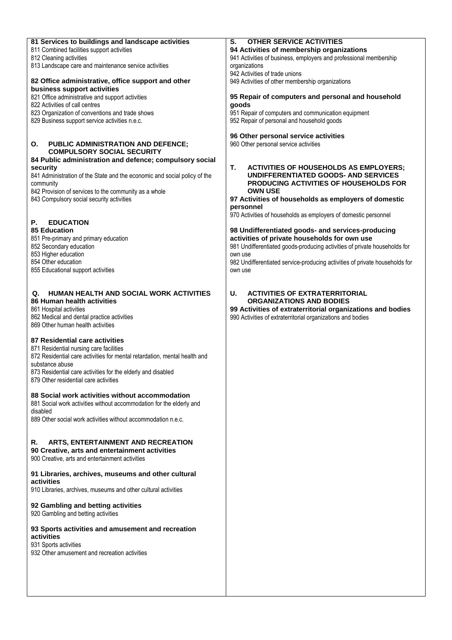| 81 Services to buildings and landscape activities                         | <b>OTHER SERVICE ACTIVITIES</b><br>S.                                       |
|---------------------------------------------------------------------------|-----------------------------------------------------------------------------|
| 811 Combined facilities support activities                                | 94 Activities of membership organizations                                   |
|                                                                           |                                                                             |
| 812 Cleaning activities                                                   | 941 Activities of business, employers and professional membership           |
| 813 Landscape care and maintenance service activities                     | organizations                                                               |
|                                                                           | 942 Activities of trade unions                                              |
| 82 Office administrative, office support and other                        | 949 Activities of other membership organizations                            |
|                                                                           |                                                                             |
| business support activities                                               |                                                                             |
| 821 Office administrative and support activities                          | 95 Repair of computers and personal and household                           |
| 822 Activities of call centres                                            | qoods                                                                       |
|                                                                           |                                                                             |
| 823 Organization of conventions and trade shows                           | 951 Repair of computers and communication equipment                         |
| 829 Business support service activities n.e.c.                            | 952 Repair of personal and household goods                                  |
|                                                                           |                                                                             |
|                                                                           | 96 Other personal service activities                                        |
|                                                                           |                                                                             |
| О.<br><b>PUBLIC ADMINISTRATION AND DEFENCE;</b>                           | 960 Other personal service activities                                       |
| <b>COMPULSORY SOCIAL SECURITY</b>                                         |                                                                             |
| 84 Public administration and defence; compulsory social                   |                                                                             |
|                                                                           | Т.                                                                          |
| securitv                                                                  | <b>ACTIVITIES OF HOUSEHOLDS AS EMPLOYERS;</b>                               |
| 841 Administration of the State and the economic and social policy of the | UNDIFFERENTIATED GOODS- AND SERVICES                                        |
| community                                                                 | PRODUCING ACTIVITIES OF HOUSEHOLDS FOR                                      |
| 842 Provision of services to the community as a whole                     | <b>OWN USE</b>                                                              |
|                                                                           |                                                                             |
| 843 Compulsory social security activities                                 | 97 Activities of households as employers of domestic                        |
|                                                                           | personnel                                                                   |
|                                                                           | 970 Activities of households as employers of domestic personnel             |
|                                                                           |                                                                             |
| Р.<br><b>EDUCATION</b>                                                    |                                                                             |
| <b>85 Education</b>                                                       | 98 Undifferentiated goods- and services-producing                           |
| 851 Pre-primary and primary education                                     | activities of private households for own use                                |
| 852 Secondary education                                                   | 981 Undifferentiated goods-producing activities of private households for   |
|                                                                           |                                                                             |
| 853 Higher education                                                      | own use                                                                     |
| 854 Other education                                                       | 982 Undifferentiated service-producing activities of private households for |
| 855 Educational support activities                                        | own use                                                                     |
|                                                                           |                                                                             |
|                                                                           |                                                                             |
|                                                                           |                                                                             |
| Q. HUMAN HEALTH AND SOCIAL WORK ACTIVITIES                                | U.<br><b>ACTIVITIES OF EXTRATERRITORIAL</b>                                 |
| 86 Human health activities                                                | <b>ORGANIZATIONS AND BODIES</b>                                             |
|                                                                           |                                                                             |
| 861 Hospital activities                                                   | 99 Activities of extraterritorial organizations and bodies                  |
| 862 Medical and dental practice activities                                | 990 Activities of extraterritorial organizations and bodies                 |
| 869 Other human health activities                                         |                                                                             |
|                                                                           |                                                                             |
|                                                                           |                                                                             |
| 87 Residential care activities                                            |                                                                             |
| 871 Residential nursing care facilities                                   |                                                                             |
| 872 Residential care activities for mental retardation, mental health and |                                                                             |
|                                                                           |                                                                             |
| substance abuse                                                           |                                                                             |
| 873 Residential care activities for the elderly and disabled              |                                                                             |
| 879 Other residential care activities                                     |                                                                             |
|                                                                           |                                                                             |
|                                                                           |                                                                             |
| 88 Social work activities without accommodation                           |                                                                             |
| 881 Social work activities without accommodation for the elderly and      |                                                                             |
| disabled                                                                  |                                                                             |
|                                                                           |                                                                             |
| 889 Other social work activities without accommodation n.e.c.             |                                                                             |
|                                                                           |                                                                             |
|                                                                           |                                                                             |
| <b>ARTS, ENTERTAINMENT AND RECREATION</b><br>R.                           |                                                                             |
|                                                                           |                                                                             |
| 90 Creative, arts and entertainment activities                            |                                                                             |
| 900 Creative, arts and entertainment activities                           |                                                                             |
|                                                                           |                                                                             |
|                                                                           |                                                                             |
| 91 Libraries, archives, museums and other cultural                        |                                                                             |
| activities                                                                |                                                                             |
| 910 Libraries, archives, museums and other cultural activities            |                                                                             |
|                                                                           |                                                                             |
|                                                                           |                                                                             |
| 92 Gambling and betting activities                                        |                                                                             |
| 920 Gambling and betting activities                                       |                                                                             |
|                                                                           |                                                                             |
|                                                                           |                                                                             |
| 93 Sports activities and amusement and recreation                         |                                                                             |
| activities                                                                |                                                                             |
| 931 Sports activities                                                     |                                                                             |
| 932 Other amusement and recreation activities                             |                                                                             |
|                                                                           |                                                                             |
|                                                                           |                                                                             |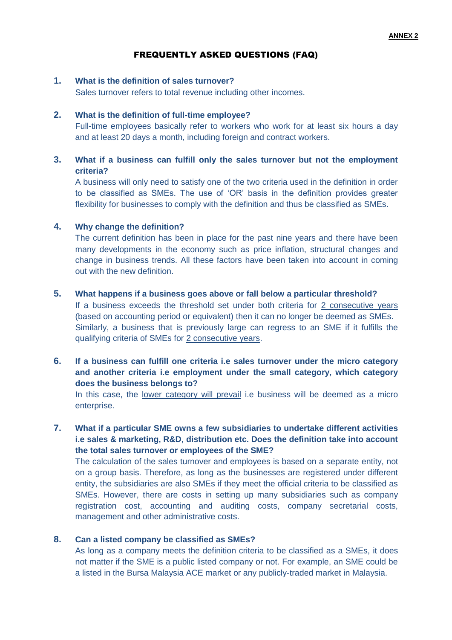## FREQUENTLY ASKED QUESTIONS (FAQ)

## **1. What is the definition of sales turnover?**

Sales turnover refers to total revenue including other incomes.

#### **2. What is the definition of full-time employee?**

Full-time employees basically refer to workers who work for at least six hours a day and at least 20 days a month, including foreign and contract workers.

## **3. What if a business can fulfill only the sales turnover but not the employment criteria?**

A business will only need to satisfy one of the two criteria used in the definition in order to be classified as SMEs. The use of 'OR' basis in the definition provides greater flexibility for businesses to comply with the definition and thus be classified as SMEs.

#### **4. Why change the definition?**

The current definition has been in place for the past nine years and there have been many developments in the economy such as price inflation, structural changes and change in business trends. All these factors have been taken into account in coming out with the new definition.

#### **5. What happens if a business goes above or fall below a particular threshold?**

If a business exceeds the threshold set under both criteria for 2 consecutive years (based on accounting period or equivalent) then it can no longer be deemed as SMEs. Similarly, a business that is previously large can regress to an SME if it fulfills the qualifying criteria of SMEs for 2 consecutive years.

## **6. If a business can fulfill one criteria i.e sales turnover under the micro category and another criteria i.e employment under the small category, which category does the business belongs to?**

In this case, the lower category will prevail i.e business will be deemed as a micro enterprise.

## **7. What if a particular SME owns a few subsidiaries to undertake different activities i.e sales & marketing, R&D, distribution etc. Does the definition take into account the total sales turnover or employees of the SME?**

The calculation of the sales turnover and employees is based on a separate entity, not on a group basis. Therefore, as long as the businesses are registered under different entity, the subsidiaries are also SMEs if they meet the official criteria to be classified as SMEs. However, there are costs in setting up many subsidiaries such as company registration cost, accounting and auditing costs, company secretarial costs, management and other administrative costs.

#### **8. Can a listed company be classified as SMEs?**

As long as a company meets the definition criteria to be classified as a SMEs, it does not matter if the SME is a public listed company or not. For example, an SME could be a listed in the Bursa Malaysia ACE market or any publicly-traded market in Malaysia.